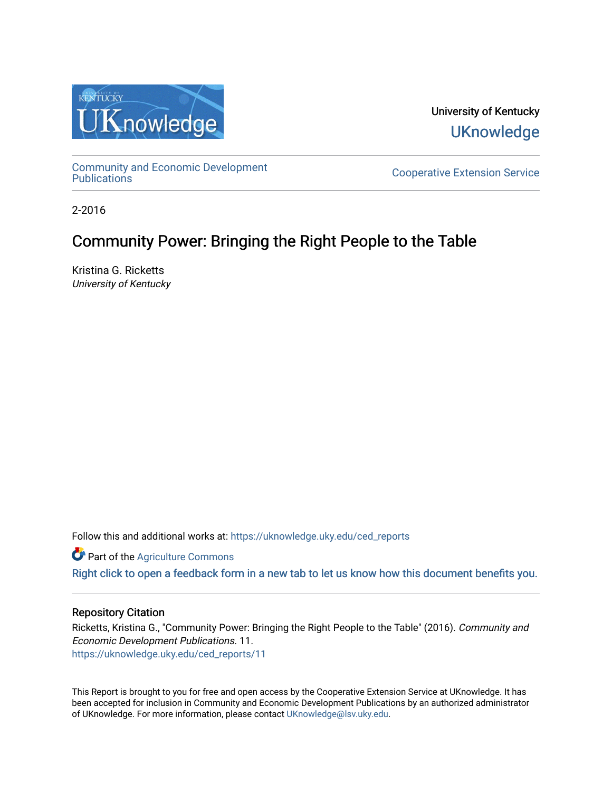

University of Kentucky **UKnowledge** 

[Community and Economic Development](https://uknowledge.uky.edu/ced_reports) 

**Cooperative Extension Service** 

2-2016

## Community Power: Bringing the Right People to the Table

Kristina G. Ricketts University of Kentucky

Follow this and additional works at: [https://uknowledge.uky.edu/ced\\_reports](https://uknowledge.uky.edu/ced_reports?utm_source=uknowledge.uky.edu%2Fced_reports%2F11&utm_medium=PDF&utm_campaign=PDFCoverPages)

**C** Part of the [Agriculture Commons](http://network.bepress.com/hgg/discipline/1076?utm_source=uknowledge.uky.edu%2Fced_reports%2F11&utm_medium=PDF&utm_campaign=PDFCoverPages)

[Right click to open a feedback form in a new tab to let us know how this document benefits you.](https://uky.az1.qualtrics.com/jfe/form/SV_9mq8fx2GnONRfz7)

#### Repository Citation

Ricketts, Kristina G., "Community Power: Bringing the Right People to the Table" (2016). Community and Economic Development Publications. 11. [https://uknowledge.uky.edu/ced\\_reports/11](https://uknowledge.uky.edu/ced_reports/11?utm_source=uknowledge.uky.edu%2Fced_reports%2F11&utm_medium=PDF&utm_campaign=PDFCoverPages) 

This Report is brought to you for free and open access by the Cooperative Extension Service at UKnowledge. It has been accepted for inclusion in Community and Economic Development Publications by an authorized administrator of UKnowledge. For more information, please contact [UKnowledge@lsv.uky.edu.](mailto:UKnowledge@lsv.uky.edu)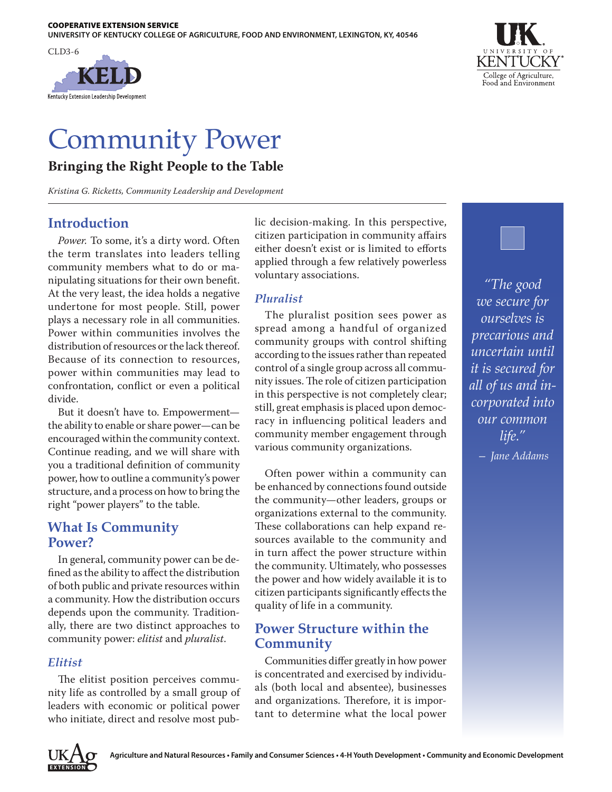



# Community Power

## **Bringing the Right People to the Table**

*Kristina G. Ricketts, Community Leadership and Development*

## **Introduction**

*Power.* To some, it's a dirty word. Often the term translates into leaders telling community members what to do or manipulating situations for their own benefit. At the very least, the idea holds a negative undertone for most people. Still, power plays a necessary role in all communities. Power within communities involves the distribution of resources or the lack thereof. Because of its connection to resources, power within communities may lead to confrontation, conflict or even a political divide.

But it doesn't have to. Empowerment the ability to enable or share power—can be encouraged within the community context. Continue reading, and we will share with you a traditional definition of community power, how to outline a community's power structure, and a process on how to bring the right "power players" to the table.

## **What Is Community Power?**

In general, community power can be defined as the ability to affect the distribution of both public and private resources within a community. How the distribution occurs depends upon the community. Traditionally, there are two distinct approaches to community power: *elitist* and *pluralist*.

#### *Elitist*

The elitist position perceives community life as controlled by a small group of leaders with economic or political power who initiate, direct and resolve most public decision-making. In this perspective, citizen participation in community affairs either doesn't exist or is limited to efforts applied through a few relatively powerless voluntary associations.

### *Pluralist*

The pluralist position sees power as spread among a handful of organized community groups with control shifting according to the issues rather than repeated control of a single group across all community issues. The role of citizen participation in this perspective is not completely clear; still, great emphasis is placed upon democracy in influencing political leaders and community member engagement through various community organizations.

Often power within a community can be enhanced by connections found outside the community—other leaders, groups or organizations external to the community. These collaborations can help expand resources available to the community and in turn affect the power structure within the community. Ultimately, who possesses the power and how widely available it is to citizen participants significantly effects the quality of life in a community.

## **Power Structure within the Community**

Communities differ greatly in how power is concentrated and exercised by individuals (both local and absentee), businesses and organizations. Therefore, it is important to determine what the local power



*"The good we secure for ourselves is precarious and uncertain until it is secured for all of us and incorporated into our common life."* 

*— Jane Addams*

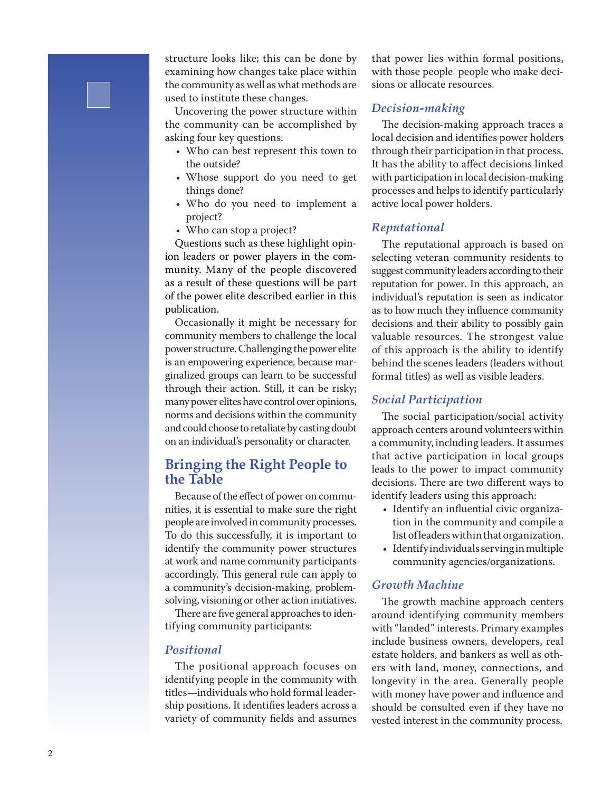structure looks like; this can be done by examining how changes take place within the community as well as what methods are used to institute these changes.

Uncovering the power structure within the community can be accomplished by asking four key questions:

- Who can best represent this town to the outside?
- Whose support do you need to get things done?
- Who do you need to implement a project?
- Who can stop a project?

Questions such as these highlight opin ion leaders or power players in the com munity. Many of the people discovered as a result of these questions will be part of the power elite described earlier in this publication.

Occasionally it might be necessary for community members to challenge the local power structure. Challenging the power elite is an empowering experience, because mar ginalized groups can learn to be successful through their action. Still, it can be risky; many power elites have control over opinions, norms and decisions within the community and could choose to retaliate by casting doubt on an individual's personality or character.

## **Bringing the Right People to the Table**

Because of the effect of power on commu nities, it is essential to make sure the right people are involved in community processes. To do this successfully, it is important to identify the community power structures at work and name community participants accordingly. This general rule can apply to a community's decision-making, problemsolving, visioning or other action initiatives.

There are five general approaches to iden tifying community participants:

#### *Positional*

The positional approach focuses on identifying people in the community with titles —individuals who hold formal leader ship positions. It identifies leaders across a variety of community fields and assumes

that power lies within formal positions, with those people people who make deci sions or allocate resources.

#### *Decision-making*

The decision-making approach traces a local decision and identifies power holders through their participation in that process. It has the ability to affect decisions linked with participation in local decision-making processes and helps to identify particularly active local power holders.

#### *Reputational*

The reputational approach is based on selecting veteran community residents to suggest community leaders according to their reputation for power. In this approach, an individual's reputation is seen as indicator as to how much they influence community decisions and their ability to possibly gain valuable resources. The strongest value of this approach is the ability to identify behind the scenes leaders (leaders without formal titles) as well as visible leaders.

#### *Social Participation*

The social participation/social activity approach centers around volunteers within a community, including leaders. It assumes that active participation in local groups leads to the power to impact community decisions. There are two different ways to identify leaders using this approach:

- Identify an influential civic organiza tion in the community and compile a list of leaders within that organization.
- Identify individuals serving in multiple community agencies/organizations.

#### *Growth Machine*

The growth machine approach centers around identifying community members with "landed" interests. Primary examples include business owners, developers, real estate holders, and bankers as well as oth ers with land, money, connections, and longevity in the area. Generally people with money have power and influence and should be consulted even if they have no vested interest in the community process.